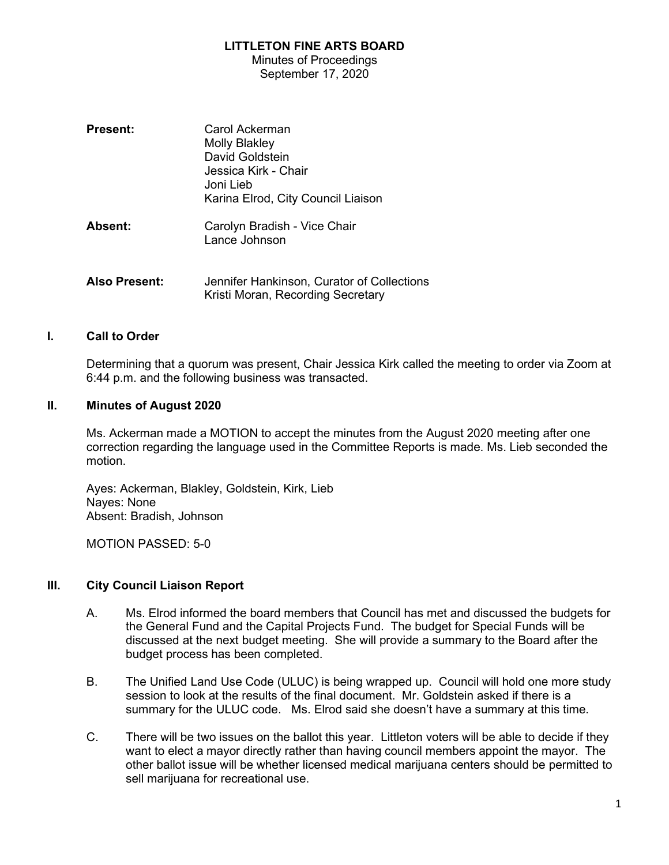#### LITTLETON FINE ARTS BOARD

Minutes of Proceedings September 17, 2020

| <b>Present:</b>      | Carol Ackerman<br><b>Molly Blakley</b><br>David Goldstein<br>Jessica Kirk - Chair<br>Joni Lieb.<br>Karina Elrod, City Council Liaison |
|----------------------|---------------------------------------------------------------------------------------------------------------------------------------|
| <b>Absent:</b>       | Carolyn Bradish - Vice Chair<br>Lance Johnson                                                                                         |
| <b>Also Present:</b> | Jennifer Hankinson, Curator of Collections<br>Kristi Moran, Recording Secretary                                                       |

#### I. Call to Order

Determining that a quorum was present, Chair Jessica Kirk called the meeting to order via Zoom at 6:44 p.m. and the following business was transacted.

#### II. Minutes of August 2020

Ms. Ackerman made a MOTION to accept the minutes from the August 2020 meeting after one correction regarding the language used in the Committee Reports is made. Ms. Lieb seconded the motion.

Ayes: Ackerman, Blakley, Goldstein, Kirk, Lieb Nayes: None Absent: Bradish, Johnson

MOTION PASSED: 5-0

## III. City Council Liaison Report

- A. Ms. Elrod informed the board members that Council has met and discussed the budgets for the General Fund and the Capital Projects Fund. The budget for Special Funds will be discussed at the next budget meeting. She will provide a summary to the Board after the budget process has been completed.
- B. The Unified Land Use Code (ULUC) is being wrapped up. Council will hold one more study session to look at the results of the final document. Mr. Goldstein asked if there is a summary for the ULUC code. Ms. Elrod said she doesn't have a summary at this time.
- C. There will be two issues on the ballot this year. Littleton voters will be able to decide if they want to elect a mayor directly rather than having council members appoint the mayor. The other ballot issue will be whether licensed medical marijuana centers should be permitted to sell marijuana for recreational use.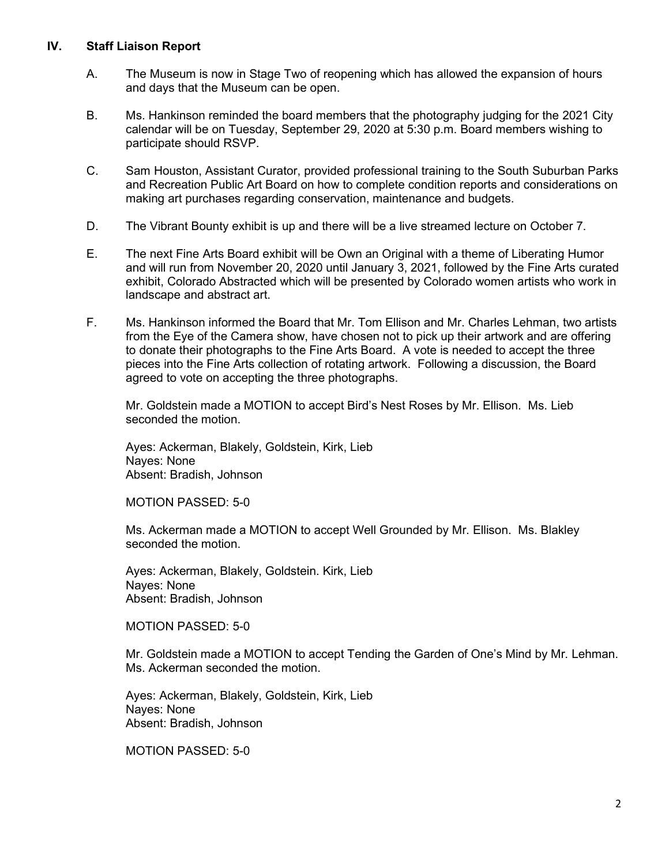#### IV. Staff Liaison Report

- A. The Museum is now in Stage Two of reopening which has allowed the expansion of hours and days that the Museum can be open.
- B. Ms. Hankinson reminded the board members that the photography judging for the 2021 City calendar will be on Tuesday, September 29, 2020 at 5:30 p.m. Board members wishing to participate should RSVP.
- C. Sam Houston, Assistant Curator, provided professional training to the South Suburban Parks and Recreation Public Art Board on how to complete condition reports and considerations on making art purchases regarding conservation, maintenance and budgets.
- D. The Vibrant Bounty exhibit is up and there will be a live streamed lecture on October 7.
- E. The next Fine Arts Board exhibit will be Own an Original with a theme of Liberating Humor and will run from November 20, 2020 until January 3, 2021, followed by the Fine Arts curated exhibit, Colorado Abstracted which will be presented by Colorado women artists who work in landscape and abstract art.
- F. Ms. Hankinson informed the Board that Mr. Tom Ellison and Mr. Charles Lehman, two artists from the Eye of the Camera show, have chosen not to pick up their artwork and are offering to donate their photographs to the Fine Arts Board. A vote is needed to accept the three pieces into the Fine Arts collection of rotating artwork. Following a discussion, the Board agreed to vote on accepting the three photographs.

Mr. Goldstein made a MOTION to accept Bird's Nest Roses by Mr. Ellison. Ms. Lieb seconded the motion.

Ayes: Ackerman, Blakely, Goldstein, Kirk, Lieb Nayes: None Absent: Bradish, Johnson

MOTION PASSED: 5-0

Ms. Ackerman made a MOTION to accept Well Grounded by Mr. Ellison. Ms. Blakley seconded the motion.

Ayes: Ackerman, Blakely, Goldstein. Kirk, Lieb Nayes: None Absent: Bradish, Johnson

MOTION PASSED: 5-0

Mr. Goldstein made a MOTION to accept Tending the Garden of One's Mind by Mr. Lehman. Ms. Ackerman seconded the motion.

Ayes: Ackerman, Blakely, Goldstein, Kirk, Lieb Nayes: None Absent: Bradish, Johnson

MOTION PASSED: 5-0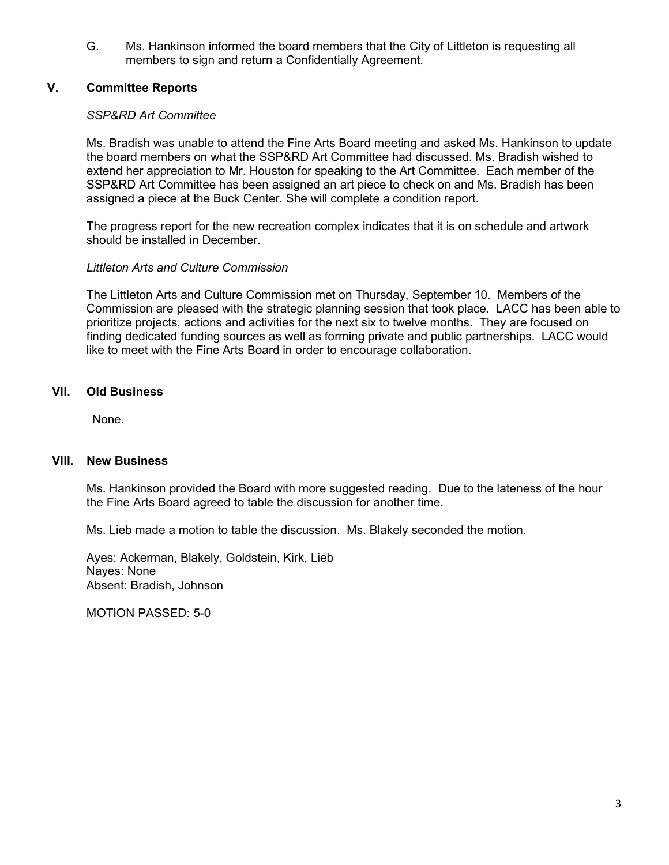G. Ms. Hankinson informed the board members that the City of Littleton is requesting all members to sign and return a Confidentially Agreement.

# V. Committee Reports

## SSP&RD Art Committee

Ms. Bradish was unable to attend the Fine Arts Board meeting and asked Ms. Hankinson to update the board members on what the SSP&RD Art Committee had discussed. Ms. Bradish wished to extend her appreciation to Mr. Houston for speaking to the Art Committee. Each member of the SSP&RD Art Committee has been assigned an art piece to check on and Ms. Bradish has been assigned a piece at the Buck Center. She will complete a condition report.

The progress report for the new recreation complex indicates that it is on schedule and artwork should be installed in December.

## Littleton Arts and Culture Commission

The Littleton Arts and Culture Commission met on Thursday, September 10. Members of the Commission are pleased with the strategic planning session that took place. LACC has been able to prioritize projects, actions and activities for the next six to twelve months. They are focused on finding dedicated funding sources as well as forming private and public partnerships. LACC would like to meet with the Fine Arts Board in order to encourage collaboration.

# VII. Old Business

None.

## VIII. New Business

Ms. Hankinson provided the Board with more suggested reading. Due to the lateness of the hour the Fine Arts Board agreed to table the discussion for another time.

Ms. Lieb made a motion to table the discussion. Ms. Blakely seconded the motion.

Ayes: Ackerman, Blakely, Goldstein, Kirk, Lieb Nayes: None Absent: Bradish, Johnson

MOTION PASSED: 5-0